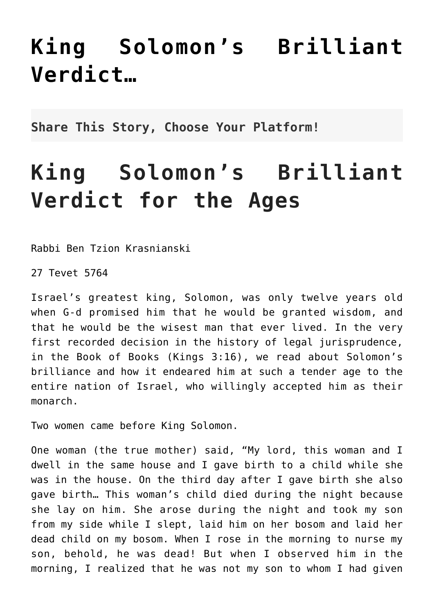## **[King Solomon's Brilliant](http://noahide.org/king-solomons-brilliant-verdict/) [Verdict…](http://noahide.org/king-solomons-brilliant-verdict/)**

**Share This Story, Choose Your Platform!**

## **King Solomon's Brilliant Verdict for the Ages**

Rabbi Ben Tzion Krasnianski

27 Tevet 5764

Israel's greatest king, Solomon, was only twelve years old when G-d promised him that he would be granted wisdom, and that he would be the wisest man that ever lived. In the very first recorded decision in the history of legal jurisprudence, in the Book of Books (Kings 3:16), we read about Solomon's brilliance and how it endeared him at such a tender age to the entire nation of Israel, who willingly accepted him as their monarch.

Two women came before King Solomon.

One woman (the true mother) said, "My lord, this woman and I dwell in the same house and I gave birth to a child while she was in the house. On the third day after I gave birth she also gave birth… This woman's child died during the night because she lay on him. She arose during the night and took my son from my side while I slept, laid him on her bosom and laid her dead child on my bosom. When I rose in the morning to nurse my son, behold, he was dead! But when I observed him in the morning, I realized that he was not my son to whom I had given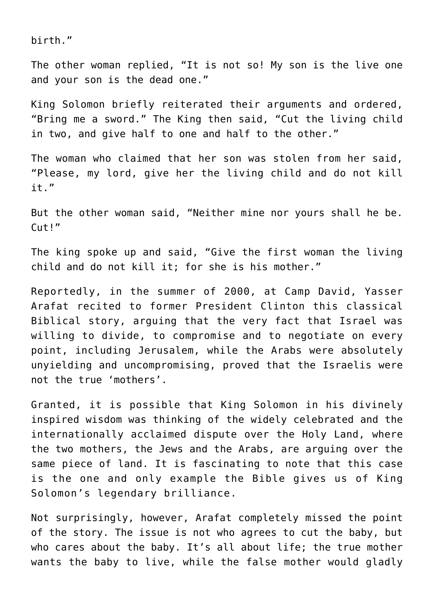birth."

The other woman replied, "It is not so! My son is the live one and your son is the dead one."

King Solomon briefly reiterated their arguments and ordered, "Bring me a sword." The King then said, "Cut the living child in two, and give half to one and half to the other."

The woman who claimed that her son was stolen from her said, "Please, my lord, give her the living child and do not kill it."

But the other woman said, "Neither mine nor yours shall he be. Cut!"

The king spoke up and said, "Give the first woman the living child and do not kill it; for she is his mother."

Reportedly, in the summer of 2000, at Camp David, Yasser Arafat recited to former President Clinton this classical Biblical story, arguing that the very fact that Israel was willing to divide, to compromise and to negotiate on every point, including Jerusalem, while the Arabs were absolutely unyielding and uncompromising, proved that the Israelis were not the true 'mothers'.

Granted, it is possible that King Solomon in his divinely inspired wisdom was thinking of the widely celebrated and the internationally acclaimed dispute over the Holy Land, where the two mothers, the Jews and the Arabs, are arguing over the same piece of land. It is fascinating to note that this case is the one and only example the Bible gives us of King Solomon's legendary brilliance.

Not surprisingly, however, Arafat completely missed the point of the story. The issue is not who agrees to cut the baby, but who cares about the baby. It's all about life; the true mother wants the baby to live, while the false mother would gladly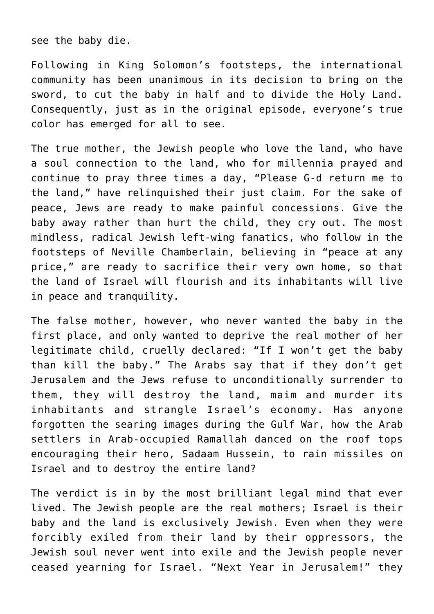see the baby die.

Following in King Solomon's footsteps, the international community has been unanimous in its decision to bring on the sword, to cut the baby in half and to divide the Holy Land. Consequently, just as in the original episode, everyone's true color has emerged for all to see.

The true mother, the Jewish people who love the land, who have a soul connection to the land, who for millennia prayed and continue to pray three times a day, "Please G-d return me to the land," have relinquished their just claim. For the sake of peace, Jews are ready to make painful concessions. Give the baby away rather than hurt the child, they cry out. The most mindless, radical Jewish left-wing fanatics, who follow in the footsteps of Neville Chamberlain, believing in "peace at any price," are ready to sacrifice their very own home, so that the land of Israel will flourish and its inhabitants will live in peace and tranquility.

The false mother, however, who never wanted the baby in the first place, and only wanted to deprive the real mother of her legitimate child, cruelly declared: "If I won't get the baby than kill the baby." The Arabs say that if they don't get Jerusalem and the Jews refuse to unconditionally surrender to them, they will destroy the land, maim and murder its inhabitants and strangle Israel's economy. Has anyone forgotten the searing images during the Gulf War, how the Arab settlers in Arab-occupied Ramallah danced on the roof tops encouraging their hero, Sadaam Hussein, to rain missiles on Israel and to destroy the entire land?

The verdict is in by the most brilliant legal mind that ever lived. The Jewish people are the real mothers; Israel is their baby and the land is exclusively Jewish. Even when they were forcibly exiled from their land by their oppressors, the Jewish soul never went into exile and the Jewish people never ceased yearning for Israel. "Next Year in Jerusalem!" they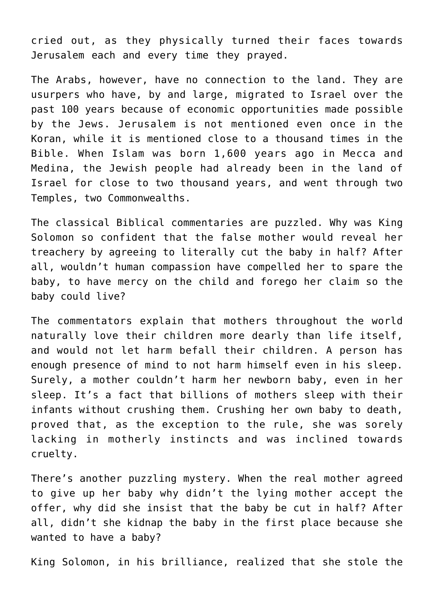cried out, as they physically turned their faces towards Jerusalem each and every time they prayed.

The Arabs, however, have no connection to the land. They are usurpers who have, by and large, migrated to Israel over the past 100 years because of economic opportunities made possible by the Jews. Jerusalem is not mentioned even once in the Koran, while it is mentioned close to a thousand times in the Bible. When Islam was born 1,600 years ago in Mecca and Medina, the Jewish people had already been in the land of Israel for close to two thousand years, and went through two Temples, two Commonwealths.

The classical Biblical commentaries are puzzled. Why was King Solomon so confident that the false mother would reveal her treachery by agreeing to literally cut the baby in half? After all, wouldn't human compassion have compelled her to spare the baby, to have mercy on the child and forego her claim so the baby could live?

The commentators explain that mothers throughout the world naturally love their children more dearly than life itself, and would not let harm befall their children. A person has enough presence of mind to not harm himself even in his sleep. Surely, a mother couldn't harm her newborn baby, even in her sleep. It's a fact that billions of mothers sleep with their infants without crushing them. Crushing her own baby to death, proved that, as the exception to the rule, she was sorely lacking in motherly instincts and was inclined towards cruelty.

There's another puzzling mystery. When the real mother agreed to give up her baby why didn't the lying mother accept the offer, why did she insist that the baby be cut in half? After all, didn't she kidnap the baby in the first place because she wanted to have a baby?

King Solomon, in his brilliance, realized that she stole the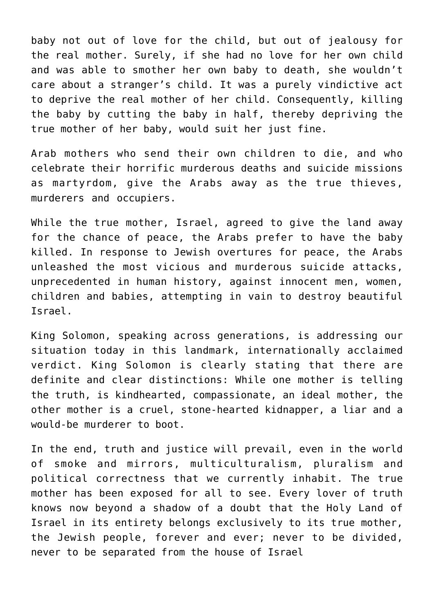baby not out of love for the child, but out of jealousy for the real mother. Surely, if she had no love for her own child and was able to smother her own baby to death, she wouldn't care about a stranger's child. It was a purely vindictive act to deprive the real mother of her child. Consequently, killing the baby by cutting the baby in half, thereby depriving the true mother of her baby, would suit her just fine.

Arab mothers who send their own children to die, and who celebrate their horrific murderous deaths and suicide missions as martyrdom, give the Arabs away as the true thieves, murderers and occupiers.

While the true mother, Israel, agreed to give the land away for the chance of peace, the Arabs prefer to have the baby killed. In response to Jewish overtures for peace, the Arabs unleashed the most vicious and murderous suicide attacks, unprecedented in human history, against innocent men, women, children and babies, attempting in vain to destroy beautiful Israel.

King Solomon, speaking across generations, is addressing our situation today in this landmark, internationally acclaimed verdict. King Solomon is clearly stating that there are definite and clear distinctions: While one mother is telling the truth, is kindhearted, compassionate, an ideal mother, the other mother is a cruel, stone-hearted kidnapper, a liar and a would-be murderer to boot.

In the end, truth and justice will prevail, even in the world of smoke and mirrors, multiculturalism, pluralism and political correctness that we currently inhabit. The true mother has been exposed for all to see. Every lover of truth knows now beyond a shadow of a doubt that the Holy Land of Israel in its entirety belongs exclusively to its true mother, the Jewish people, forever and ever; never to be divided, never to be separated from the house of Israel